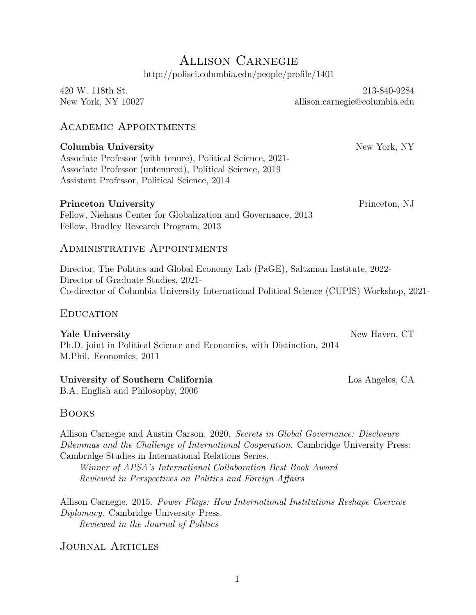# Allison Carnegie http://polisci.columbia.edu/people/profile/1401

## Academic Appointments

#### Columbia University **New York, New York, NY**

Associate Professor (with tenure), Political Science, 2021- Associate Professor (untenured), Political Science, 2019 Assistant Professor, Political Science, 2014

#### **Princeton University** Princeton, NJ

Fellow, Niehaus Center for Globalization and Governance, 2013 Fellow, Bradley Research Program, 2013

#### Administrative Appointments

Director, The Politics and Global Economy Lab (PaGE), Saltzman Institute, 2022- Director of Graduate Studies, 2021- Co-director of Columbia University International Political Science (CUPIS) Workshop, 2021-

#### **EDUCATION**

Yale University **New Haven, CT** Ph.D. joint in Political Science and Economics, with Distinction, 2014 M.Phil. Economics, 2011

#### University of Southern California Los Angeles, CA

B.A, English and Philosophy, 2006

## Books

Allison Carnegie and Austin Carson. 2020. Secrets in Global Governance: Disclosure Dilemmas and the Challenge of International Cooperation. Cambridge University Press: Cambridge Studies in International Relations Series.

Winner of APSA's International Collaboration Best Book Award Reviewed in Perspectives on Politics and Foreign Affairs

Allison Carnegie. 2015. Power Plays: How International Institutions Reshape Coercive Diplomacy. Cambridge University Press. Reviewed in the Journal of Politics

## Journal Articles

New York, NY 10027 allison.carnegie@columbia.edu

420 W. 118th St. 213-840-9284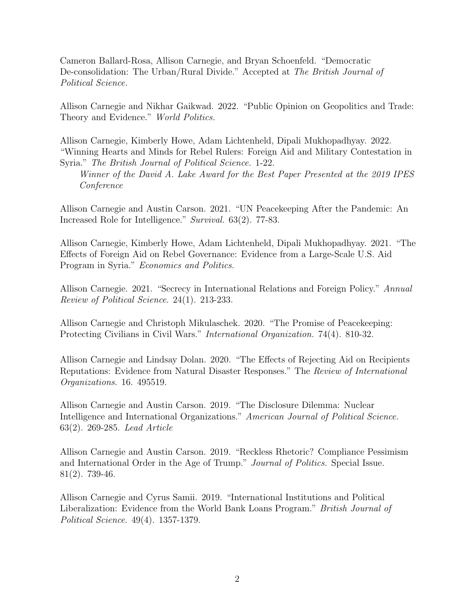Cameron Ballard-Rosa, Allison Carnegie, and Bryan Schoenfeld. "Democratic De-consolidation: The Urban/Rural Divide." Accepted at The British Journal of Political Science.

Allison Carnegie and Nikhar Gaikwad. 2022. "Public Opinion on Geopolitics and Trade: Theory and Evidence." World Politics.

Allison Carnegie, Kimberly Howe, Adam Lichtenheld, Dipali Mukhopadhyay. 2022. "Winning Hearts and Minds for Rebel Rulers: Foreign Aid and Military Contestation in Syria." The British Journal of Political Science. 1-22.

Winner of the David A. Lake Award for the Best Paper Presented at the 2019 IPES Conference

Allison Carnegie and Austin Carson. 2021. "UN Peacekeeping After the Pandemic: An Increased Role for Intelligence." Survival. 63(2). 77-83.

Allison Carnegie, Kimberly Howe, Adam Lichtenheld, Dipali Mukhopadhyay. 2021. "The Effects of Foreign Aid on Rebel Governance: Evidence from a Large-Scale U.S. Aid Program in Syria." Economics and Politics.

Allison Carnegie. 2021. "Secrecy in International Relations and Foreign Policy." Annual Review of Political Science. 24(1). 213-233.

Allison Carnegie and Christoph Mikulaschek. 2020. "The Promise of Peacekeeping: Protecting Civilians in Civil Wars." *International Organization.* 74(4). 810-32.

Allison Carnegie and Lindsay Dolan. 2020. "The Effects of Rejecting Aid on Recipients Reputations: Evidence from Natural Disaster Responses." The Review of International Organizations. 16. 495519.

Allison Carnegie and Austin Carson. 2019. "The Disclosure Dilemma: Nuclear Intelligence and International Organizations." American Journal of Political Science. 63(2). 269-285. Lead Article

Allison Carnegie and Austin Carson. 2019. "Reckless Rhetoric? Compliance Pessimism and International Order in the Age of Trump." Journal of Politics. Special Issue. 81(2). 739-46.

Allison Carnegie and Cyrus Samii. 2019. "International Institutions and Political Liberalization: Evidence from the World Bank Loans Program." British Journal of Political Science. 49(4). 1357-1379.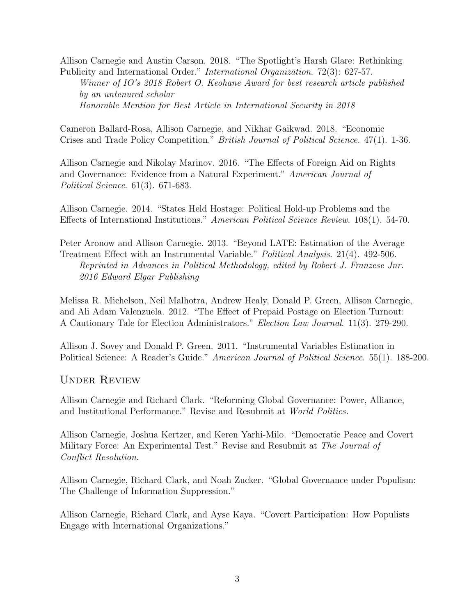Allison Carnegie and Austin Carson. 2018. "The Spotlight's Harsh Glare: Rethinking Publicity and International Order." International Organization. 72(3): 627-57.

Winner of IO's 2018 Robert O. Keohane Award for best research article published by an untenured scholar Honorable Mention for Best Article in International Security in 2018

Cameron Ballard-Rosa, Allison Carnegie, and Nikhar Gaikwad. 2018. "Economic Crises and Trade Policy Competition." British Journal of Political Science. 47(1). 1-36.

Allison Carnegie and Nikolay Marinov. 2016. "The Effects of Foreign Aid on Rights and Governance: Evidence from a Natural Experiment." American Journal of Political Science. 61(3). 671-683.

Allison Carnegie. 2014. "States Held Hostage: Political Hold-up Problems and the Effects of International Institutions." American Political Science Review. 108(1). 54-70.

Peter Aronow and Allison Carnegie. 2013. "Beyond LATE: Estimation of the Average Treatment Effect with an Instrumental Variable." Political Analysis. 21(4). 492-506. Reprinted in Advances in Political Methodology, edited by Robert J. Franzese Jnr. 2016 Edward Elgar Publishing

Melissa R. Michelson, Neil Malhotra, Andrew Healy, Donald P. Green, Allison Carnegie, and Ali Adam Valenzuela. 2012. "The Effect of Prepaid Postage on Election Turnout: A Cautionary Tale for Election Administrators." Election Law Journal. 11(3). 279-290.

Allison J. Sovey and Donald P. Green. 2011. "Instrumental Variables Estimation in Political Science: A Reader's Guide." *American Journal of Political Science*. 55(1). 188-200.

Under Review

Allison Carnegie and Richard Clark. "Reforming Global Governance: Power, Alliance, and Institutional Performance." Revise and Resubmit at World Politics.

Allison Carnegie, Joshua Kertzer, and Keren Yarhi-Milo. "Democratic Peace and Covert Military Force: An Experimental Test." Revise and Resubmit at The Journal of Conflict Resolution.

Allison Carnegie, Richard Clark, and Noah Zucker. "Global Governance under Populism: The Challenge of Information Suppression."

Allison Carnegie, Richard Clark, and Ayse Kaya. "Covert Participation: How Populists Engage with International Organizations."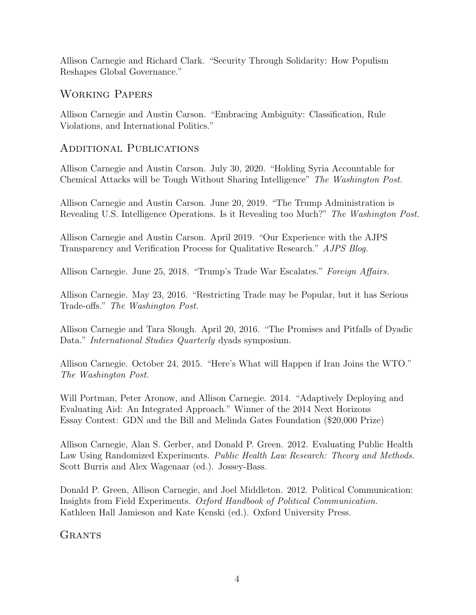Allison Carnegie and Richard Clark. "Security Through Solidarity: How Populism Reshapes Global Governance."

#### Working Papers

Allison Carnegie and Austin Carson. "Embracing Ambiguity: Classification, Rule Violations, and International Politics."

#### Additional Publications

Allison Carnegie and Austin Carson. July 30, 2020. "Holding Syria Accountable for Chemical Attacks will be Tough Without Sharing Intelligence" The Washington Post.

Allison Carnegie and Austin Carson. June 20, 2019. "The Trump Administration is Revealing U.S. Intelligence Operations. Is it Revealing too Much?" The Washington Post.

Allison Carnegie and Austin Carson. April 2019. "Our Experience with the AJPS Transparency and Verification Process for Qualitative Research." AJPS Blog.

Allison Carnegie. June 25, 2018. "Trump's Trade War Escalates." Foreign Affairs.

Allison Carnegie. May 23, 2016. "Restricting Trade may be Popular, but it has Serious Trade-offs." The Washington Post.

Allison Carnegie and Tara Slough. April 20, 2016. "The Promises and Pitfalls of Dyadic Data." *International Studies Quarterly* dyads symposium.

Allison Carnegie. October 24, 2015. "Here's What will Happen if Iran Joins the WTO." The Washington Post.

Will Portman, Peter Aronow, and Allison Carnegie. 2014. "Adaptively Deploying and Evaluating Aid: An Integrated Approach." Winner of the 2014 Next Horizons Essay Contest: GDN and the Bill and Melinda Gates Foundation (\$20,000 Prize)

Allison Carnegie, Alan S. Gerber, and Donald P. Green. 2012. Evaluating Public Health Law Using Randomized Experiments. Public Health Law Research: Theory and Methods. Scott Burris and Alex Wagenaar (ed.). Jossey-Bass.

Donald P. Green, Allison Carnegie, and Joel Middleton. 2012. Political Communication: Insights from Field Experiments. Oxford Handbook of Political Communication. Kathleen Hall Jamieson and Kate Kenski (ed.). Oxford University Press.

**GRANTS**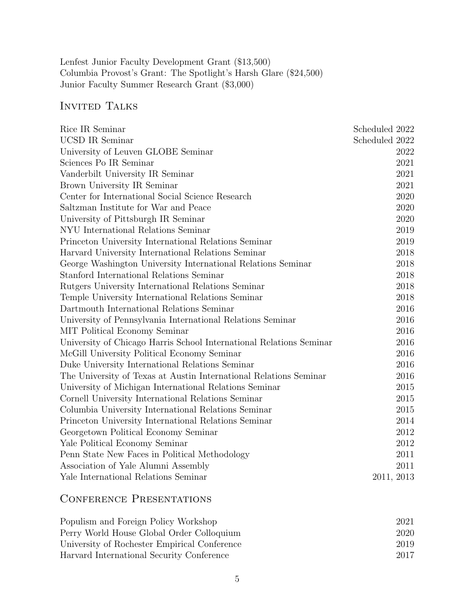Lenfest Junior Faculty Development Grant (\$13,500) Columbia Provost's Grant: The Spotlight's Harsh Glare (\$24,500) Junior Faculty Summer Research Grant (\$3,000)

# INVITED TALKS

| Rice IR Seminar                                                     | Scheduled 2022 |
|---------------------------------------------------------------------|----------------|
| <b>UCSD IR Seminar</b>                                              | Scheduled 2022 |
| University of Leuven GLOBE Seminar                                  | 2022           |
| Sciences Po IR Seminar                                              | 2021           |
| Vanderbilt University IR Seminar                                    | 2021           |
| Brown University IR Seminar                                         | 2021           |
| Center for International Social Science Research                    | 2020           |
| Saltzman Institute for War and Peace                                | 2020           |
| University of Pittsburgh IR Seminar                                 | 2020           |
| NYU International Relations Seminar                                 | 2019           |
| Princeton University International Relations Seminar                | 2019           |
| Harvard University International Relations Seminar                  | 2018           |
| George Washington University International Relations Seminar        | 2018           |
| Stanford International Relations Seminar                            | 2018           |
| Rutgers University International Relations Seminar                  | 2018           |
| Temple University International Relations Seminar                   | 2018           |
| Dartmouth International Relations Seminar                           | 2016           |
| University of Pennsylvania International Relations Seminar          | 2016           |
| MIT Political Economy Seminar                                       | 2016           |
| University of Chicago Harris School International Relations Seminar | 2016           |
| McGill University Political Economy Seminar                         | 2016           |
| Duke University International Relations Seminar                     | 2016           |
| The University of Texas at Austin International Relations Seminar   | 2016           |
| University of Michigan International Relations Seminar              | 2015           |
| Cornell University International Relations Seminar                  | 2015           |
| Columbia University International Relations Seminar                 | 2015           |
| Princeton University International Relations Seminar                | 2014           |
| Georgetown Political Economy Seminar                                | 2012           |
| Yale Political Economy Seminar                                      | 2012           |
| Penn State New Faces in Political Methodology                       | 2011           |
| Association of Yale Alumni Assembly                                 | 2011           |
| Yale International Relations Seminar                                | 2011, 2013     |

# CONFERENCE PRESENTATIONS

| Populism and Foreign Policy Workshop         | 2021 |  |
|----------------------------------------------|------|--|
| Perry World House Global Order Colloquium    | 2020 |  |
| University of Rochester Empirical Conference | 2019 |  |
| Harvard International Security Conference    | 2017 |  |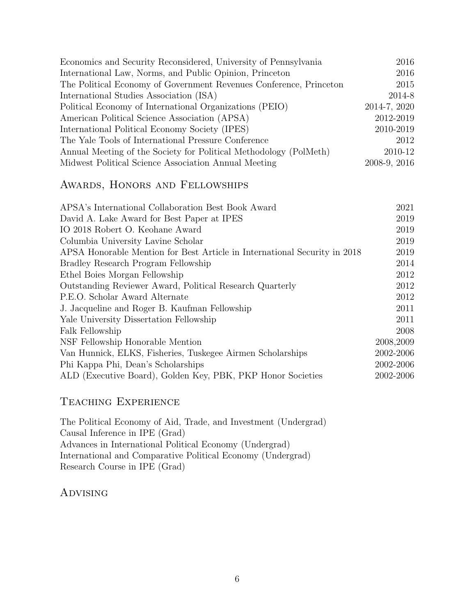| Economics and Security Reconsidered, University of Pennsylvania    | 2016         |
|--------------------------------------------------------------------|--------------|
| International Law, Norms, and Public Opinion, Princeton            | 2016         |
| The Political Economy of Government Revenues Conference, Princeton | 2015         |
| International Studies Association (ISA)                            | 2014-8       |
| Political Economy of International Organizations (PEIO)            | 2014-7, 2020 |
| American Political Science Association (APSA)                      | 2012-2019    |
| International Political Economy Society (IPES)                     | 2010-2019    |
| The Yale Tools of International Pressure Conference                | 2012         |
| Annual Meeting of the Society for Political Methodology (PolMeth)  | 2010-12      |
| Midwest Political Science Association Annual Meeting               | 2008-9, 2016 |

#### Awards, Honors and Fellowships

| APSA's International Collaboration Best Book Award                        | 2021      |
|---------------------------------------------------------------------------|-----------|
| David A. Lake Award for Best Paper at IPES                                | 2019      |
| IO 2018 Robert O. Keohane Award                                           | 2019      |
| Columbia University Lavine Scholar                                        | 2019      |
| APSA Honorable Mention for Best Article in International Security in 2018 | 2019      |
| Bradley Research Program Fellowship                                       | 2014      |
| Ethel Boies Morgan Fellowship                                             | 2012      |
| Outstanding Reviewer Award, Political Research Quarterly                  | 2012      |
| P.E.O. Scholar Award Alternate                                            | 2012      |
| J. Jacqueline and Roger B. Kaufman Fellowship                             | 2011      |
| Yale University Dissertation Fellowship                                   | 2011      |
| Falk Fellowship                                                           | 2008      |
| NSF Fellowship Honorable Mention                                          | 2008,2009 |
| Van Hunnick, ELKS, Fisheries, Tuskegee Airmen Scholarships                | 2002-2006 |
| Phi Kappa Phi, Dean's Scholarships                                        | 2002-2006 |
| ALD (Executive Board), Golden Key, PBK, PKP Honor Societies               | 2002-2006 |
|                                                                           |           |

## Teaching Experience

The Political Economy of Aid, Trade, and Investment (Undergrad) Causal Inference in IPE (Grad) Advances in International Political Economy (Undergrad) International and Comparative Political Economy (Undergrad) Research Course in IPE (Grad)

## **ADVISING**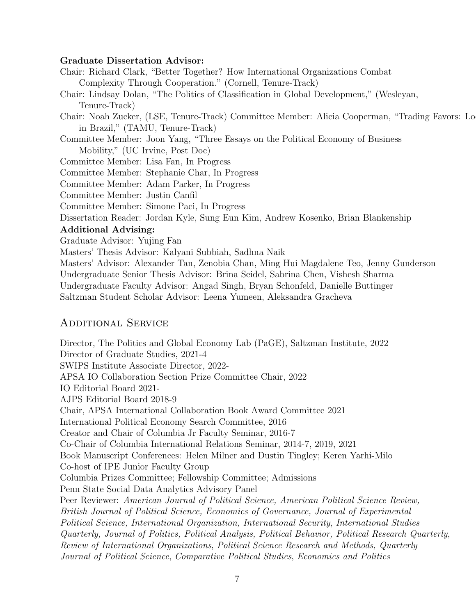#### Graduate Dissertation Advisor:

Chair: Richard Clark, "Better Together? How International Organizations Combat Complexity Through Cooperation." (Cornell, Tenure-Track)

Chair: Lindsay Dolan, "The Politics of Classification in Global Development," (Wesleyan, Tenure-Track)

Chair: Noah Zucker, (LSE, Tenure-Track) Committee Member: Alicia Cooperman, "Trading Favors: Lo in Brazil," (TAMU, Tenure-Track)

Committee Member: Joon Yang, "Three Essays on the Political Economy of Business Mobility," (UC Irvine, Post Doc)

Committee Member: Lisa Fan, In Progress

Committee Member: Stephanie Char, In Progress

Committee Member: Adam Parker, In Progress

Committee Member: Justin Canfil

Committee Member: Simone Paci, In Progress

Dissertation Reader: Jordan Kyle, Sung Eun Kim, Andrew Kosenko, Brian Blankenship

#### Additional Advising:

Graduate Advisor: Yujing Fan

Masters' Thesis Advisor: Kalyani Subbiah, Sadhna Naik

Masters' Advisor: Alexander Tan, Zenobia Chan, Ming Hui Magdalene Teo, Jenny Gunderson Undergraduate Senior Thesis Advisor: Brina Seidel, Sabrina Chen, Vishesh Sharma Undergraduate Faculty Advisor: Angad Singh, Bryan Schonfeld, Danielle Buttinger Saltzman Student Scholar Advisor: Leena Yumeen, Aleksandra Gracheva

#### Additional Service

Director, The Politics and Global Economy Lab (PaGE), Saltzman Institute, 2022 Director of Graduate Studies, 2021-4 SWIPS Institute Associate Director, 2022- APSA IO Collaboration Section Prize Committee Chair, 2022 IO Editorial Board 2021- AJPS Editorial Board 2018-9 Chair, APSA International Collaboration Book Award Committee 2021 International Political Economy Search Committee, 2016 Creator and Chair of Columbia Jr Faculty Seminar, 2016-7 Co-Chair of Columbia International Relations Seminar, 2014-7, 2019, 2021 Book Manuscript Conferences: Helen Milner and Dustin Tingley; Keren Yarhi-Milo Co-host of IPE Junior Faculty Group Columbia Prizes Committee; Fellowship Committee; Admissions Penn State Social Data Analytics Advisory Panel Peer Reviewer: American Journal of Political Science, American Political Science Review, British Journal of Political Science, Economics of Governance, Journal of Experimental Political Science, International Organization, International Security, International Studies Quarterly, Journal of Politics, Political Analysis, Political Behavior, Political Research Quarterly, Review of International Organizations, Political Science Research and Methods, Quarterly Journal of Political Science, Comparative Political Studies, Economics and Politics